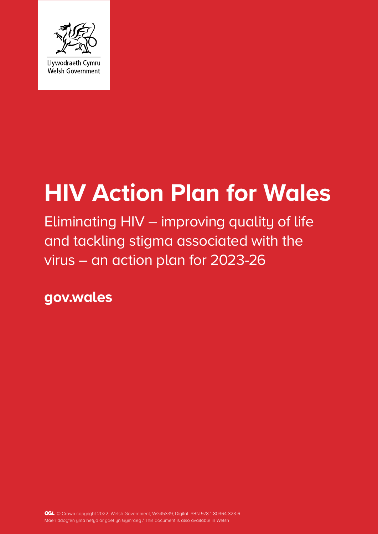

# **HIV Action Plan for Wales**

Eliminating HIV – improving quality of life and tackling stigma associated with the virus – an action plan for 2023-26

**gov.wales**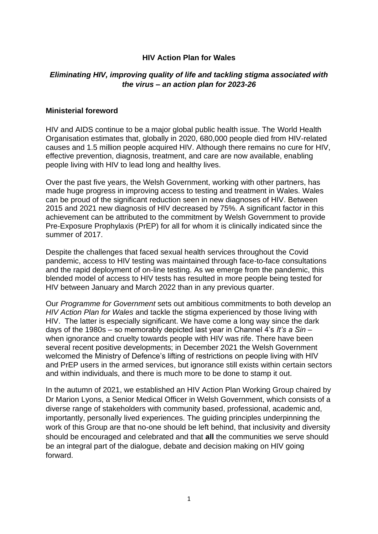#### **HIV Action Plan for Wales**

## *Eliminating HIV, improving quality of life and tackling stigma associated with the virus – an action plan for 2023-26*

#### **Ministerial foreword**

HIV and AIDS continue to be a major global public health issue. The World Health Organisation estimates that, globally in 2020, 680,000 people died from HIV-related causes and 1.5 million people acquired HIV. Although there remains no cure for HIV, effective prevention, diagnosis, treatment, and care are now available, enabling people living with HIV to lead long and healthy lives.

Over the past five years, the Welsh Government, working with other partners, has made huge progress in improving access to testing and treatment in Wales. Wales can be proud of the significant reduction seen in new diagnoses of HIV. Between 2015 and 2021 new diagnosis of HIV decreased by 75%. A significant factor in this achievement can be attributed to the commitment by Welsh Government to provide Pre-Exposure Prophylaxis (PrEP) for all for whom it is clinically indicated since the summer of 2017.

Despite the challenges that faced sexual health services throughout the Covid pandemic, access to HIV testing was maintained through face-to-face consultations and the rapid deployment of on-line testing. As we emerge from the pandemic, this blended model of access to HIV tests has resulted in more people being tested for HIV between January and March 2022 than in any previous quarter.

Our *Programme for Government* sets out ambitious commitments to both develop an *HIV Action Plan for Wales* and tackle the stigma experienced by those living with HIV. The latter is especially significant. We have come a long way since the dark days of the 1980s – so memorably depicted last year in Channel 4's *It's a Sin –* when ignorance and cruelty towards people with HIV was rife. There have been several recent positive developments; in December 2021 the Welsh Government welcomed the Ministry of Defence's lifting of restrictions on people living with HIV and PrEP users in the armed services, but ignorance still exists within certain sectors and within individuals, and there is much more to be done to stamp it out.

In the autumn of 2021, we established an HIV Action Plan Working Group chaired by Dr Marion Lyons, a Senior Medical Officer in Welsh Government, which consists of a diverse range of stakeholders with community based, professional, academic and, importantly, personally lived experiences. The guiding principles underpinning the work of this Group are that no-one should be left behind, that inclusivity and diversity should be encouraged and celebrated and that **all** the communities we serve should be an integral part of the dialogue, debate and decision making on HIV going forward.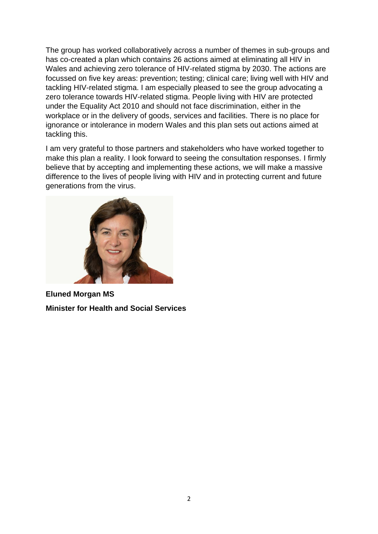The group has worked collaboratively across a number of themes in sub-groups and has co-created a plan which contains 26 actions aimed at eliminating all HIV in Wales and achieving zero tolerance of HIV-related stigma by 2030. The actions are focussed on five key areas: prevention; testing; clinical care; living well with HIV and tackling HIV-related stigma. I am especially pleased to see the group advocating a zero tolerance towards HIV-related stigma. People living with HIV are protected under the Equality Act 2010 and should not face discrimination, either in the workplace or in the delivery of goods, services and facilities. There is no place for ignorance or intolerance in modern Wales and this plan sets out actions aimed at tackling this.

I am very grateful to those partners and stakeholders who have worked together to make this plan a reality. I look forward to seeing the consultation responses. I firmly believe that by accepting and implementing these actions, we will make a massive difference to the lives of people living with HIV and in protecting current and future generations from the virus.



**Eluned Morgan MS Minister for Health and Social Services**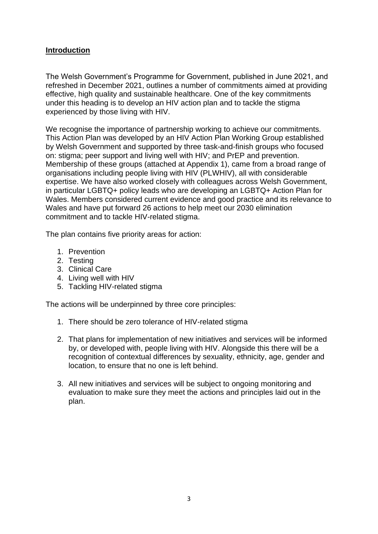#### **Introduction**

The Welsh Government's Programme for Government, published in June 2021, and refreshed in December 2021, outlines a number of commitments aimed at providing effective, high quality and sustainable healthcare. One of the key commitments under this heading is to develop an HIV action plan and to tackle the stigma experienced by those living with HIV.

We recognise the importance of partnership working to achieve our commitments. This Action Plan was developed by an HIV Action Plan Working Group established by Welsh Government and supported by three task-and-finish groups who focused on: stigma; peer support and living well with HIV; and PrEP and prevention. Membership of these groups (attached at Appendix 1), came from a broad range of organisations including people living with HIV (PLWHIV), all with considerable expertise. We have also worked closely with colleagues across Welsh Government, in particular LGBTQ+ policy leads who are developing an LGBTQ+ Action Plan for Wales. Members considered current evidence and good practice and its relevance to Wales and have put forward 26 actions to help meet our 2030 elimination commitment and to tackle HIV-related stigma.

The plan contains five priority areas for action:

- 1. Prevention
- 2. Testing
- 3. Clinical Care
- 4. Living well with HIV
- 5. Tackling HIV-related stigma

The actions will be underpinned by three core principles:

- 1. There should be zero tolerance of HIV-related stigma
- 2. That plans for implementation of new initiatives and services will be informed by, or developed with, people living with HIV. Alongside this there will be a recognition of contextual differences by sexuality, ethnicity, age, gender and location, to ensure that no one is left behind.
- 3. All new initiatives and services will be subject to ongoing monitoring and evaluation to make sure they meet the actions and principles laid out in the plan.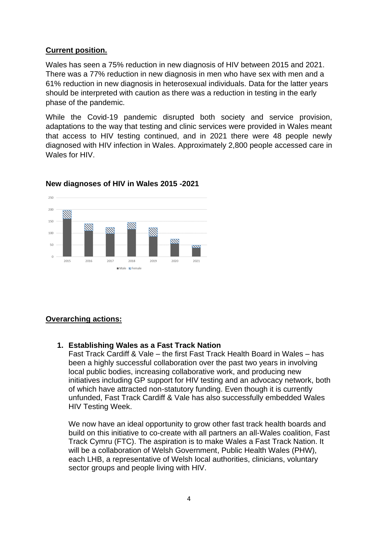## **Current position.**

Wales has seen a 75% reduction in new diagnosis of HIV between 2015 and 2021. There was a 77% reduction in new diagnosis in men who have sex with men and a 61% reduction in new diagnosis in heterosexual individuals. Data for the latter years should be interpreted with caution as there was a reduction in testing in the early phase of the pandemic.

While the Covid-19 pandemic disrupted both society and service provision, adaptations to the way that testing and clinic services were provided in Wales meant that access to HIV testing continued, and in 2021 there were 48 people newly diagnosed with HIV infection in Wales. Approximately 2,800 people accessed care in Wales for HIV.



## **New diagnoses of HIV in Wales 2015 -2021**

## **Overarching actions:**

#### **1. Establishing Wales as a Fast Track Nation**

Fast Track Cardiff & Vale – the first Fast Track Health Board in Wales – has been a highly successful collaboration over the past two years in involving local public bodies, increasing collaborative work, and producing new initiatives including GP support for HIV testing and an advocacy network, both of which have attracted non-statutory funding. Even though it is currently unfunded, Fast Track Cardiff & Vale has also successfully embedded Wales HIV Testing Week.

We now have an ideal opportunity to grow other fast track health boards and build on this initiative to co-create with all partners an all-Wales coalition, Fast Track Cymru (FTC). The aspiration is to make Wales a Fast Track Nation. It will be a collaboration of Welsh Government, Public Health Wales (PHW), each LHB, a representative of Welsh local authorities, clinicians, voluntary sector groups and people living with HIV.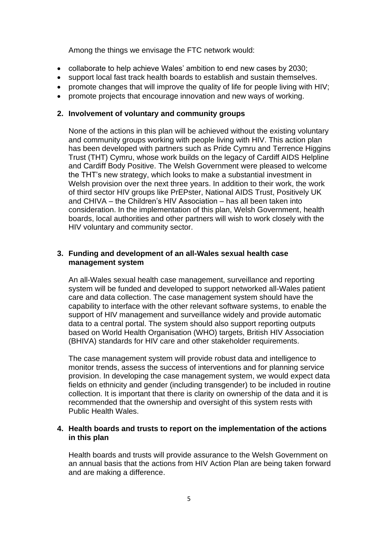Among the things we envisage the FTC network would:

- collaborate to help achieve Wales' ambition to end new cases by 2030;
- support local fast track health boards to establish and sustain themselves.
- promote changes that will improve the quality of life for people living with HIV;
- promote projects that encourage innovation and new ways of working.

#### **2. Involvement of voluntary and community groups**

None of the actions in this plan will be achieved without the existing voluntary and community groups working with people living with HIV. This action plan has been developed with partners such as Pride Cymru and Terrence Higgins Trust (THT) Cymru, whose work builds on the legacy of Cardiff AIDS Helpline and Cardiff Body Positive. The Welsh Government were pleased to welcome the THT's new strategy, which looks to make a substantial investment in Welsh provision over the next three years. In addition to their work, the work of third sector HIV groups like PrEPster, National AIDS Trust, Positively UK and CHIVA – the Children's HIV Association – has all been taken into consideration. In the implementation of this plan, Welsh Government, health boards, local authorities and other partners will wish to work closely with the HIV voluntary and community sector.

#### **3. Funding and development of an all-Wales sexual health case management system**

An all-Wales sexual health case management, surveillance and reporting system will be funded and developed to support networked all-Wales patient care and data collection. The case management system should have the capability to interface with the other relevant software systems, to enable the support of HIV management and surveillance widely and provide automatic data to a central portal. The system should also support reporting outputs based on World Health Organisation (WHO) targets, British HIV Association (BHIVA) standards for HIV care and other stakeholder requirements.

The case management system will provide robust data and intelligence to monitor trends, assess the success of interventions and for planning service provision. In developing the case management system, we would expect data fields on ethnicity and gender (including transgender) to be included in routine collection. It is important that there is clarity on ownership of the data and it is recommended that the ownership and oversight of this system rests with Public Health Wales.

#### **4. Health boards and trusts to report on the implementation of the actions in this plan**

Health boards and trusts will provide assurance to the Welsh Government on an annual basis that the actions from HIV Action Plan are being taken forward and are making a difference.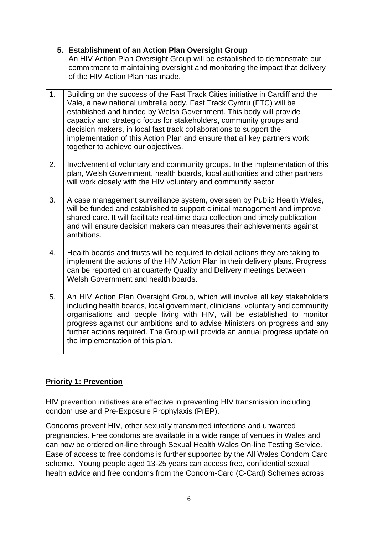## **5. Establishment of an Action Plan Oversight Group**

An HIV Action Plan Oversight Group will be established to demonstrate our commitment to maintaining oversight and monitoring the impact that delivery of the HIV Action Plan has made.

| 1. | Building on the success of the Fast Track Cities initiative in Cardiff and the<br>Vale, a new national umbrella body, Fast Track Cymru (FTC) will be<br>established and funded by Welsh Government. This body will provide<br>capacity and strategic focus for stakeholders, community groups and<br>decision makers, in local fast track collaborations to support the<br>implementation of this Action Plan and ensure that all key partners work<br>together to achieve our objectives. |
|----|--------------------------------------------------------------------------------------------------------------------------------------------------------------------------------------------------------------------------------------------------------------------------------------------------------------------------------------------------------------------------------------------------------------------------------------------------------------------------------------------|
| 2. | Involvement of voluntary and community groups. In the implementation of this<br>plan, Welsh Government, health boards, local authorities and other partners<br>will work closely with the HIV voluntary and community sector.                                                                                                                                                                                                                                                              |
| 3. | A case management surveillance system, overseen by Public Health Wales,<br>will be funded and established to support clinical management and improve<br>shared care. It will facilitate real-time data collection and timely publication<br>and will ensure decision makers can measures their achievements against<br>ambitions.                                                                                                                                                          |
| 4. | Health boards and trusts will be required to detail actions they are taking to<br>implement the actions of the HIV Action Plan in their delivery plans. Progress<br>can be reported on at quarterly Quality and Delivery meetings between<br>Welsh Government and health boards.                                                                                                                                                                                                           |
| 5. | An HIV Action Plan Oversight Group, which will involve all key stakeholders<br>including health boards, local government, clinicians, voluntary and community<br>organisations and people living with HIV, will be established to monitor<br>progress against our ambitions and to advise Ministers on progress and any<br>further actions required. The Group will provide an annual progress update on<br>the implementation of this plan.                                               |

## **Priority 1: Prevention**

HIV prevention initiatives are effective in preventing HIV transmission including condom use and Pre-Exposure Prophylaxis (PrEP).

Condoms prevent HIV, other sexually transmitted infections and unwanted pregnancies. Free condoms are available in a wide range of venues in Wales and can now be ordered on-line through Sexual Health Wales On-line Testing Service. Ease of access to free condoms is further supported by the All Wales Condom Card scheme. Young people aged 13-25 years can access free, confidential sexual health advice and free condoms from the Condom-Card (C-Card) Schemes across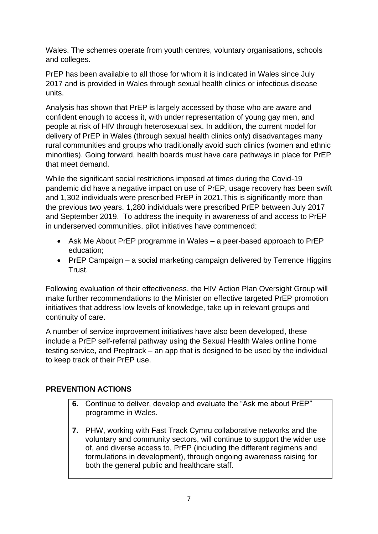Wales. The schemes operate from youth centres, voluntary organisations, schools and colleges.

PrEP has been available to all those for whom it is indicated in Wales since July 2017 and is provided in Wales through sexual health clinics or infectious disease units.

Analysis has shown that PrEP is largely accessed by those who are aware and confident enough to access it, with under representation of young gay men, and people at risk of HIV through heterosexual sex. In addition, the current model for delivery of PrEP in Wales (through sexual health clinics only) disadvantages many rural communities and groups who traditionally avoid such clinics (women and ethnic minorities). Going forward, health boards must have care pathways in place for PrEP that meet demand.

While the significant social restrictions imposed at times during the Covid-19 pandemic did have a negative impact on use of PrEP, usage recovery has been swift and 1,302 individuals were prescribed PrEP in 2021.This is significantly more than the previous two years. 1,280 individuals were prescribed PrEP between July 2017 and September 2019. To address the inequity in awareness of and access to PrEP in underserved communities, pilot initiatives have commenced:

- Ask Me About PrEP programme in Wales a peer-based approach to PrEP education;
- PrEP Campaign a social marketing campaign delivered by Terrence Higgins Trust.

Following evaluation of their effectiveness, the HIV Action Plan Oversight Group will make further recommendations to the Minister on effective targeted PrEP promotion initiatives that address low levels of knowledge, take up in relevant groups and continuity of care.

A number of service improvement initiatives have also been developed, these include a PrEP self-referral pathway using the Sexual Health Wales online home testing service, and Preptrack – an app that is designed to be used by the individual to keep track of their PrEP use.

## **PREVENTION ACTIONS**

| 6. | Continue to deliver, develop and evaluate the "Ask me about PrEP"<br>programme in Wales.                                                                                                                                                                                                                                                           |
|----|----------------------------------------------------------------------------------------------------------------------------------------------------------------------------------------------------------------------------------------------------------------------------------------------------------------------------------------------------|
|    | 7.   PHW, working with Fast Track Cymru collaborative networks and the<br>voluntary and community sectors, will continue to support the wider use<br>of, and diverse access to, PrEP (including the different regimens and<br>formulations in development), through ongoing awareness raising for<br>both the general public and healthcare staff. |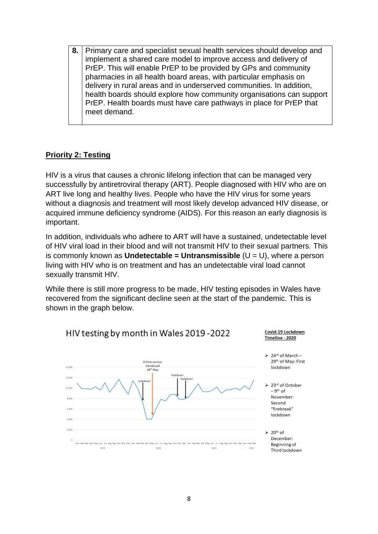**8.** Primary care and specialist sexual health services should develop and implement a shared care model to improve access and delivery of PrEP. This will enable PrEP to be provided by GPs and community pharmacies in all health board areas, with particular emphasis on delivery in rural areas and in underserved communities. In addition, health boards should explore how community organisations can support PrEP. Health boards must have care pathways in place for PrEP that meet demand.

## **Priority 2: Testing**

HIV is a virus that causes a chronic lifelong infection that can be managed very successfully by antiretroviral therapy (ART). People diagnosed with HIV who are on ART live long and healthy lives. People who have the HIV virus for some years without a diagnosis and treatment will most likely develop advanced HIV disease, or acquired immune deficiency syndrome (AIDS). For this reason an early diagnosis is important.

In addition, individuals who adhere to ART will have a sustained, undetectable level of HIV viral load in their blood and will not transmit HIV to their sexual partners. This is commonly known as **Undetectable = Untransmissible** (U = U), where a person living with HIV who is on treatment and has an undetectable viral load cannot sexually transmit HIV.

While there is still more progress to be made. HIV testing episodes in Wales have recovered from the significant decline seen at the start of the pandemic. This is shown in the graph below.

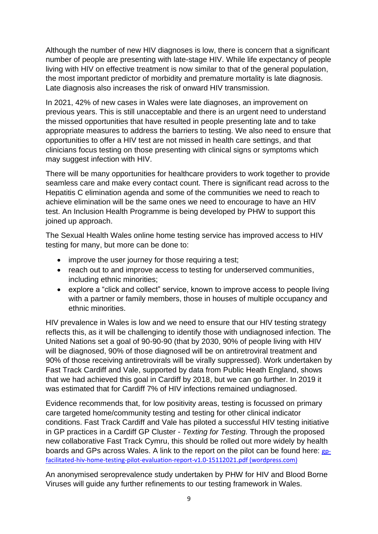Although the number of new HIV diagnoses is low, there is concern that a significant number of people are presenting with late-stage HIV. While life expectancy of people living with HIV on effective treatment is now similar to that of the general population, the most important predictor of morbidity and premature mortality is late diagnosis. Late diagnosis also increases the risk of onward HIV transmission.

In 2021, 42% of new cases in Wales were late diagnoses, an improvement on previous years. This is still unacceptable and there is an urgent need to understand the missed opportunities that have resulted in people presenting late and to take appropriate measures to address the barriers to testing. We also need to ensure that opportunities to offer a HIV test are not missed in health care settings, and that clinicians focus testing on those presenting with clinical signs or symptoms which may suggest infection with HIV.

There will be many opportunities for healthcare providers to work together to provide seamless care and make every contact count. There is significant read across to the Hepatitis C elimination agenda and some of the communities we need to reach to achieve elimination will be the same ones we need to encourage to have an HIV test. An Inclusion Health Programme is being developed by PHW to support this joined up approach.

The Sexual Health Wales online home testing service has improved access to HIV testing for many, but more can be done to:

- improve the user journey for those requiring a test;
- reach out to and improve access to testing for underserved communities, including ethnic minorities;
- explore a "click and collect" service, known to improve access to people living with a partner or family members, those in houses of multiple occupancy and ethnic minorities.

HIV prevalence in Wales is low and we need to ensure that our HIV testing strategy reflects this, as it will be challenging to identify those with undiagnosed infection. The United Nations set a goal of 90-90-90 (that by 2030, 90% of people living with HIV will be diagnosed, 90% of those diagnosed will be on antiretroviral treatment and 90% of those receiving antiretrovirals will be virally suppressed). Work undertaken by Fast Track Cardiff and Vale, supported by data from Public Heath England, shows that we had achieved this goal in Cardiff by 2018, but we can go further. In 2019 it was estimated that for Cardiff 7% of HIV infections remained undiagnosed.

Evidence recommends that, for low positivity areas, testing is focussed on primary care targeted home/community testing and testing for other clinical indicator conditions. Fast Track Cardiff and Vale has piloted a successful HIV testing initiative in GP practices in a Cardiff GP Cluster - *Texting for Testing.* Through the proposed new collaborative Fast Track Cymru, this should be rolled out more widely by health boards and GPs across Wales. A link to the report on the pilot can be found here: [gp](https://fasttrackcardiff.files.wordpress.com/2021/11/gp-facilitated-hiv-home-testing-pilot-evaluation-report-v1.0-15112021.pdf)[facilitated-hiv-home-testing-pilot-evaluation-report-v1.0-15112021.pdf \(wordpress.com\)](https://fasttrackcardiff.files.wordpress.com/2021/11/gp-facilitated-hiv-home-testing-pilot-evaluation-report-v1.0-15112021.pdf)

An anonymised seroprevalence study undertaken by PHW for HIV and Blood Borne Viruses will guide any further refinements to our testing framework in Wales.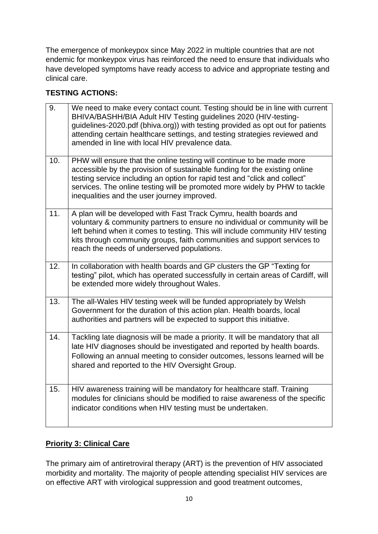The emergence of monkeypox since May 2022 in multiple countries that are not endemic for monkeypox virus has reinforced the need to ensure that individuals who have developed symptoms have ready access to advice and appropriate testing and clinical care.

## **TESTING ACTIONS:**

| 9.  | We need to make every contact count. Testing should be in line with current<br>BHIVA/BASHH/BIA Adult HIV Testing guidelines 2020 (HIV-testing-<br>guidelines-2020.pdf (bhiva.org)) with testing provided as opt out for patients<br>attending certain healthcare settings, and testing strategies reviewed and<br>amended in line with local HIV prevalence data. |
|-----|-------------------------------------------------------------------------------------------------------------------------------------------------------------------------------------------------------------------------------------------------------------------------------------------------------------------------------------------------------------------|
| 10. | PHW will ensure that the online testing will continue to be made more<br>accessible by the provision of sustainable funding for the existing online<br>testing service including an option for rapid test and "click and collect"<br>services. The online testing will be promoted more widely by PHW to tackle<br>inequalities and the user journey improved.    |
| 11. | A plan will be developed with Fast Track Cymru, health boards and<br>voluntary & community partners to ensure no individual or community will be<br>left behind when it comes to testing. This will include community HIV testing<br>kits through community groups, faith communities and support services to<br>reach the needs of underserved populations.      |
| 12. | In collaboration with health boards and GP clusters the GP "Texting for<br>testing" pilot, which has operated successfully in certain areas of Cardiff, will<br>be extended more widely throughout Wales.                                                                                                                                                         |
| 13. | The all-Wales HIV testing week will be funded appropriately by Welsh<br>Government for the duration of this action plan. Health boards, local<br>authorities and partners will be expected to support this initiative.                                                                                                                                            |
| 14. | Tackling late diagnosis will be made a priority. It will be mandatory that all<br>late HIV diagnoses should be investigated and reported by health boards.<br>Following an annual meeting to consider outcomes, lessons learned will be<br>shared and reported to the HIV Oversight Group.                                                                        |
| 15. | HIV awareness training will be mandatory for healthcare staff. Training<br>modules for clinicians should be modified to raise awareness of the specific<br>indicator conditions when HIV testing must be undertaken.                                                                                                                                              |

## **Priority 3: Clinical Care**

The primary aim of antiretroviral therapy (ART) is the prevention of HIV associated morbidity and mortality. The majority of people attending specialist HIV services are on effective ART with virological suppression and good treatment outcomes,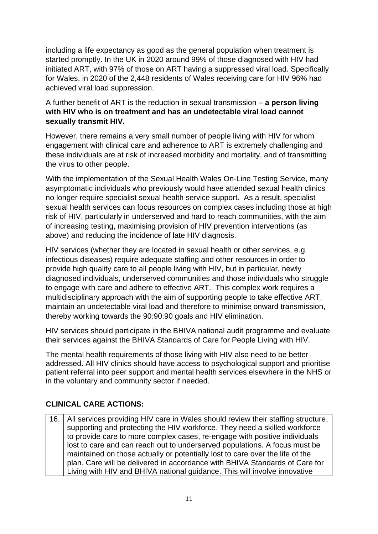including a life expectancy as good as the general population when treatment is started promptly. In the UK in 2020 around 99% of those diagnosed with HIV had initiated ART, with 97% of those on ART having a suppressed viral load. Specifically for Wales, in 2020 of the 2,448 residents of Wales receiving care for HIV 96% had achieved viral load suppression.

## A further benefit of ART is the reduction in sexual transmission – **a person living with HIV who is on treatment and has an undetectable viral load cannot sexually transmit HIV.**

However, there remains a very small number of people living with HIV for whom engagement with clinical care and adherence to ART is extremely challenging and these individuals are at risk of increased morbidity and mortality, and of transmitting the virus to other people.

With the implementation of the Sexual Health Wales On-Line Testing Service, many asymptomatic individuals who previously would have attended sexual health clinics no longer require specialist sexual health service support. As a result, specialist sexual health services can focus resources on complex cases including those at high risk of HIV, particularly in underserved and hard to reach communities, with the aim of increasing testing, maximising provision of HIV prevention interventions (as above) and reducing the incidence of late HIV diagnosis.

HIV services (whether they are located in sexual health or other services, e.g. infectious diseases) require adequate staffing and other resources in order to provide high quality care to all people living with HIV, but in particular, newly diagnosed individuals, underserved communities and those individuals who struggle to engage with care and adhere to effective ART. This complex work requires a multidisciplinary approach with the aim of supporting people to take effective ART, maintain an undetectable viral load and therefore to minimise onward transmission, thereby working towards the 90:90:90 goals and HIV elimination.

HIV services should participate in the BHIVA national audit programme and evaluate their services against the BHIVA Standards of Care for People Living with HIV.

The mental health requirements of those living with HIV also need to be better addressed. All HIV clinics should have access to psychological support and prioritise patient referral into peer support and mental health services elsewhere in the NHS or in the voluntary and community sector if needed.

## **CLINICAL CARE ACTIONS:**

16. All services providing HIV care in Wales should review their staffing structure, supporting and protecting the HIV workforce. They need a skilled workforce to provide care to more complex cases, re-engage with positive individuals lost to care and can reach out to underserved populations. A focus must be maintained on those actually or potentially lost to care over the life of the plan. Care will be delivered in accordance with BHIVA Standards of Care for Living with HIV and BHIVA national guidance. This will involve innovative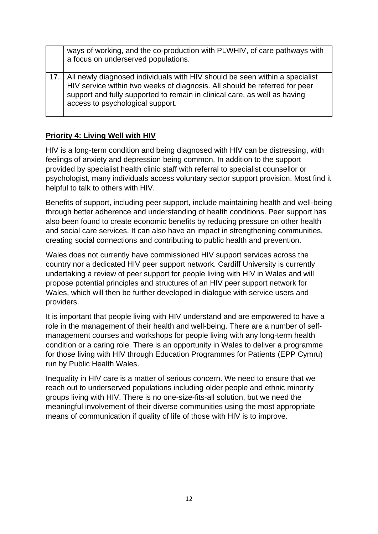| ways of working, and the co-production with PLWHIV, of care pathways with<br>a focus on underserved populations.                                                                                                                                                                 |
|----------------------------------------------------------------------------------------------------------------------------------------------------------------------------------------------------------------------------------------------------------------------------------|
| 17.   All newly diagnosed individuals with HIV should be seen within a specialist<br>HIV service within two weeks of diagnosis. All should be referred for peer<br>support and fully supported to remain in clinical care, as well as having<br>access to psychological support. |

## **Priority 4: Living Well with HIV**

HIV is a long-term condition and being diagnosed with HIV can be distressing, with feelings of anxiety and depression being common. In addition to the support provided by specialist health clinic staff with referral to specialist counsellor or psychologist, many individuals access voluntary sector support provision. Most find it helpful to talk to others with HIV.

Benefits of support, including peer support, include maintaining health and well-being through better adherence and understanding of health conditions. Peer support has also been found to create economic benefits by reducing pressure on other health and social care services. It can also have an impact in strengthening communities, creating social connections and contributing to public health and prevention.

Wales does not currently have commissioned HIV support services across the country nor a dedicated HIV peer support network. Cardiff University is currently undertaking a review of peer support for people living with HIV in Wales and will propose potential principles and structures of an HIV peer support network for Wales, which will then be further developed in dialogue with service users and providers.

It is important that people living with HIV understand and are empowered to have a role in the management of their health and well-being. There are a number of selfmanagement courses and workshops for people living with any long-term health condition or a caring role. There is an opportunity in Wales to deliver a programme for those living with HIV through Education Programmes for Patients (EPP Cymru) run by Public Health Wales.

Inequality in HIV care is a matter of serious concern. We need to ensure that we reach out to underserved populations including older people and ethnic minority groups living with HIV. There is no one-size-fits-all solution, but we need the meaningful involvement of their diverse communities using the most appropriate means of communication if quality of life of those with HIV is to improve.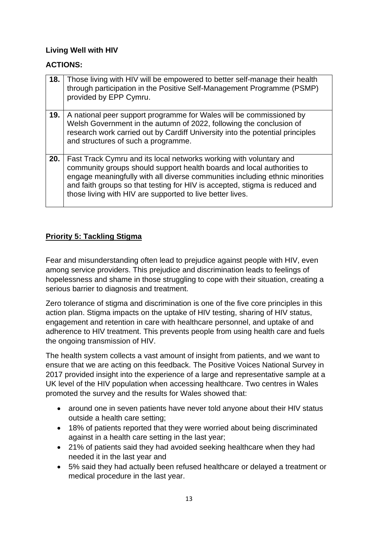## **Living Well with HIV**

#### **ACTIONS:**

| 18. | Those living with HIV will be empowered to better self-manage their health<br>through participation in the Positive Self-Management Programme (PSMP)<br>provided by EPP Cymru.                                                                                                                                                                                           |
|-----|--------------------------------------------------------------------------------------------------------------------------------------------------------------------------------------------------------------------------------------------------------------------------------------------------------------------------------------------------------------------------|
| 19. | A national peer support programme for Wales will be commissioned by<br>Welsh Government in the autumn of 2022, following the conclusion of<br>research work carried out by Cardiff University into the potential principles<br>and structures of such a programme.                                                                                                       |
| 20. | Fast Track Cymru and its local networks working with voluntary and<br>community groups should support health boards and local authorities to<br>engage meaningfully with all diverse communities including ethnic minorities<br>and faith groups so that testing for HIV is accepted, stigma is reduced and<br>those living with HIV are supported to live better lives. |

## **Priority 5: Tackling Stigma**

Fear and misunderstanding often lead to prejudice against people with HIV, even among service providers. This prejudice and discrimination leads to feelings of hopelessness and shame in those struggling to cope with their situation, creating a serious barrier to diagnosis and treatment.

Zero tolerance of stigma and discrimination is one of the five core principles in this action plan. Stigma impacts on the uptake of HIV testing, sharing of HIV status, engagement and retention in care with healthcare personnel, and uptake of and adherence to HIV treatment. This prevents people from using health care and fuels the ongoing transmission of HIV.

The health system collects a vast amount of insight from patients, and we want to ensure that we are acting on this feedback. The Positive Voices National Survey in 2017 provided insight into the experience of a large and representative sample at a UK level of the HIV population when accessing healthcare. Two centres in Wales promoted the survey and the results for Wales showed that:

- around one in seven patients have never told anyone about their HIV status outside a health care setting;
- 18% of patients reported that they were worried about being discriminated against in a health care setting in the last year;
- 21% of patients said they had avoided seeking healthcare when they had needed it in the last year and
- 5% said they had actually been refused healthcare or delayed a treatment or medical procedure in the last year.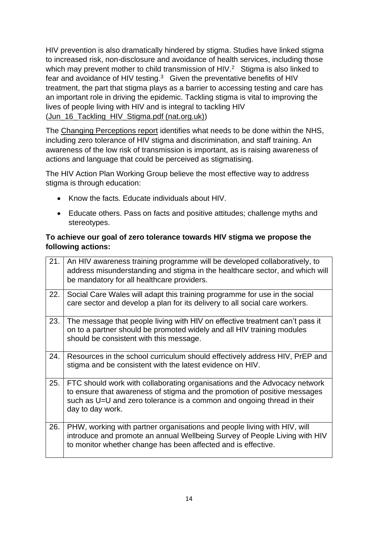HIV prevention is also dramatically hindered by stigma. Studies have linked stigma to increased risk, non-disclosure and avoidance of health services, including those which may prevent mother to child transmission of  $HIV.<sup>2</sup>$  Stigma is also linked to fear and avoidance of HIV testing. $3$  Given the preventative benefits of HIV treatment, the part that stigma plays as a barrier to accessing testing and care has an important role in driving the epidemic. Tackling stigma is vital to improving the lives of people living with HIV and is integral to tackling HIV [\(Jun\\_16\\_Tackling\\_HIV\\_Stigma.pdf \(nat.org.uk\)\)](https://www.nat.org.uk/sites/default/files/publications/Jun_16_Tackling_HIV_Stigma.pdf#:~:text=In%20addition%2C%20there%20are%20a%20range%20of%20intersecting,racism%20and%20homophobia%20can%20interlace%20with%20HIV%20stigma.)

The [Changing Perceptions report](https://www.nat.org.uk/sites/default/files/publications/web_PV_Changing%20Perceptions-Stigma-report.pdf) identifies what needs to be done within the NHS, including zero tolerance of HIV stigma and discrimination, and staff training. An awareness of the low risk of transmission is important, as is raising awareness of actions and language that could be perceived as stigmatising.

The HIV Action Plan Working Group believe the most effective way to address stigma is through education:

- Know the facts. Educate individuals about HIV.
- Educate others. Pass on facts and positive attitudes; challenge myths and stereotypes.

## **To achieve our goal of zero tolerance towards HIV stigma we propose the following actions:**

| 21. | An HIV awareness training programme will be developed collaboratively, to<br>address misunderstanding and stigma in the healthcare sector, and which will<br>be mandatory for all healthcare providers.                                              |
|-----|------------------------------------------------------------------------------------------------------------------------------------------------------------------------------------------------------------------------------------------------------|
| 22. | Social Care Wales will adapt this training programme for use in the social<br>care sector and develop a plan for its delivery to all social care workers.                                                                                            |
| 23. | The message that people living with HIV on effective treatment can't pass it<br>on to a partner should be promoted widely and all HIV training modules<br>should be consistent with this message.                                                    |
| 24. | Resources in the school curriculum should effectively address HIV, PrEP and<br>stigma and be consistent with the latest evidence on HIV.                                                                                                             |
| 25. | FTC should work with collaborating organisations and the Advocacy network<br>to ensure that awareness of stigma and the promotion of positive messages<br>such as U=U and zero tolerance is a common and ongoing thread in their<br>day to day work. |
| 26. | PHW, working with partner organisations and people living with HIV, will<br>introduce and promote an annual Wellbeing Survey of People Living with HIV<br>to monitor whether change has been affected and is effective.                              |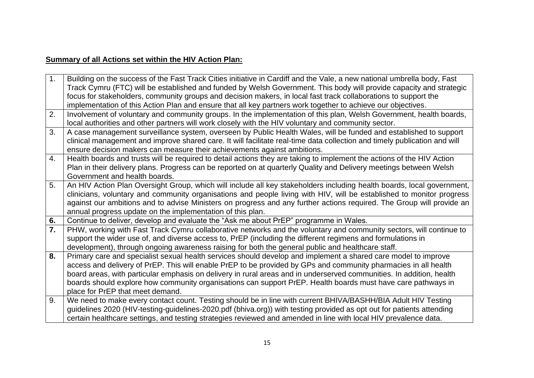## **Summary of all Actions set within the HIV Action Plan:**

| 1.               | Building on the success of the Fast Track Cities initiative in Cardiff and the Vale, a new national umbrella body, Fast<br>Track Cymru (FTC) will be established and funded by Welsh Government. This body will provide capacity and strategic |
|------------------|------------------------------------------------------------------------------------------------------------------------------------------------------------------------------------------------------------------------------------------------|
|                  | focus for stakeholders, community groups and decision makers, in local fast track collaborations to support the                                                                                                                                |
|                  |                                                                                                                                                                                                                                                |
| 2.               | implementation of this Action Plan and ensure that all key partners work together to achieve our objectives.<br>Involvement of voluntary and community groups. In the implementation of this plan, Welsh Government, health boards,            |
|                  | local authorities and other partners will work closely with the HIV voluntary and community sector.                                                                                                                                            |
| 3.               | A case management surveillance system, overseen by Public Health Wales, will be funded and established to support                                                                                                                              |
|                  | clinical management and improve shared care. It will facilitate real-time data collection and timely publication and will                                                                                                                      |
|                  | ensure decision makers can measure their achievements against ambitions.                                                                                                                                                                       |
| 4.               | Health boards and trusts will be required to detail actions they are taking to implement the actions of the HIV Action                                                                                                                         |
|                  | Plan in their delivery plans. Progress can be reported on at quarterly Quality and Delivery meetings between Welsh                                                                                                                             |
|                  | Government and health boards.                                                                                                                                                                                                                  |
| 5.               | An HIV Action Plan Oversight Group, which will include all key stakeholders including health boards, local government,                                                                                                                         |
|                  | clinicians, voluntary and community organisations and people living with HIV, will be established to monitor progress                                                                                                                          |
|                  | against our ambitions and to advise Ministers on progress and any further actions required. The Group will provide an                                                                                                                          |
|                  | annual progress update on the implementation of this plan.                                                                                                                                                                                     |
| 6.               | Continue to deliver, develop and evaluate the "Ask me about PrEP" programme in Wales.                                                                                                                                                          |
| $\overline{7}$ . | PHW, working with Fast Track Cymru collaborative networks and the voluntary and community sectors, will continue to                                                                                                                            |
|                  | support the wider use of, and diverse access to, PrEP (including the different regimens and formulations in                                                                                                                                    |
|                  | development), through ongoing awareness raising for both the general public and healthcare staff.                                                                                                                                              |
| 8.               | Primary care and specialist sexual health services should develop and implement a shared care model to improve                                                                                                                                 |
|                  | access and delivery of PrEP. This will enable PrEP to be provided by GPs and community pharmacies in all health                                                                                                                                |
|                  | board areas, with particular emphasis on delivery in rural areas and in underserved communities. In addition, health                                                                                                                           |
|                  | boards should explore how community organisations can support PrEP. Health boards must have care pathways in                                                                                                                                   |
|                  | place for PrEP that meet demand.                                                                                                                                                                                                               |
| 9.               | We need to make every contact count. Testing should be in line with current BHIVA/BASHH/BIA Adult HIV Testing                                                                                                                                  |
|                  | guidelines 2020 (HIV-testing-guidelines-2020.pdf (bhiva.org)) with testing provided as opt out for patients attending                                                                                                                          |
|                  |                                                                                                                                                                                                                                                |
|                  | certain healthcare settings, and testing strategies reviewed and amended in line with local HIV prevalence data.                                                                                                                               |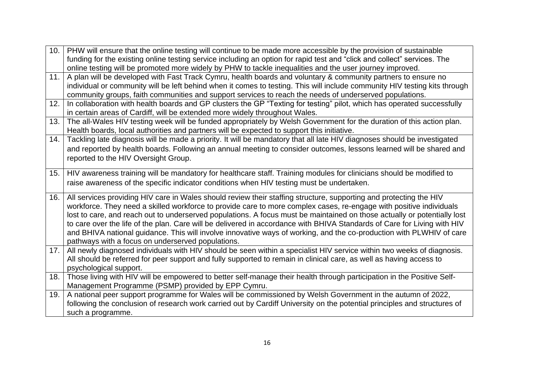| funding for the existing online testing service including an option for rapid test and "click and collect" services. The<br>online testing will be promoted more widely by PHW to tackle inequalities and the user journey improved. |  |
|--------------------------------------------------------------------------------------------------------------------------------------------------------------------------------------------------------------------------------------|--|
|                                                                                                                                                                                                                                      |  |
|                                                                                                                                                                                                                                      |  |
| A plan will be developed with Fast Track Cymru, health boards and voluntary & community partners to ensure no<br>11.                                                                                                                 |  |
| individual or community will be left behind when it comes to testing. This will include community HIV testing kits through                                                                                                           |  |
| community groups, faith communities and support services to reach the needs of underserved populations.                                                                                                                              |  |
| In collaboration with health boards and GP clusters the GP "Texting for testing" pilot, which has operated successfully<br>12.                                                                                                       |  |
| in certain areas of Cardiff, will be extended more widely throughout Wales.                                                                                                                                                          |  |
| The all-Wales HIV testing week will be funded appropriately by Welsh Government for the duration of this action plan.<br>13.                                                                                                         |  |
| Health boards, local authorities and partners will be expected to support this initiative.                                                                                                                                           |  |
| Tackling late diagnosis will be made a priority. It will be mandatory that all late HIV diagnoses should be investigated<br>14.                                                                                                      |  |
| and reported by health boards. Following an annual meeting to consider outcomes, lessons learned will be shared and                                                                                                                  |  |
| reported to the HIV Oversight Group.                                                                                                                                                                                                 |  |
|                                                                                                                                                                                                                                      |  |
| HIV awareness training will be mandatory for healthcare staff. Training modules for clinicians should be modified to<br>15.                                                                                                          |  |
| raise awareness of the specific indicator conditions when HIV testing must be undertaken.                                                                                                                                            |  |
| All services providing HIV care in Wales should review their staffing structure, supporting and protecting the HIV<br>16.                                                                                                            |  |
| workforce. They need a skilled workforce to provide care to more complex cases, re-engage with positive individuals                                                                                                                  |  |
| lost to care, and reach out to underserved populations. A focus must be maintained on those actually or potentially lost                                                                                                             |  |
| to care over the life of the plan. Care will be delivered in accordance with BHIVA Standards of Care for Living with HIV                                                                                                             |  |
| and BHIVA national guidance. This will involve innovative ways of working, and the co-production with PLWHIV of care                                                                                                                 |  |
| pathways with a focus on underserved populations.                                                                                                                                                                                    |  |
| All newly diagnosed individuals with HIV should be seen within a specialist HIV service within two weeks of diagnosis.<br>17.                                                                                                        |  |
| All should be referred for peer support and fully supported to remain in clinical care, as well as having access to                                                                                                                  |  |
| psychological support.                                                                                                                                                                                                               |  |
| Those living with HIV will be empowered to better self-manage their health through participation in the Positive Self-<br>18.                                                                                                        |  |
| Management Programme (PSMP) provided by EPP Cymru.                                                                                                                                                                                   |  |
| A national peer support programme for Wales will be commissioned by Welsh Government in the autumn of 2022,<br>19.                                                                                                                   |  |
| following the conclusion of research work carried out by Cardiff University on the potential principles and structures of                                                                                                            |  |
| such a programme.                                                                                                                                                                                                                    |  |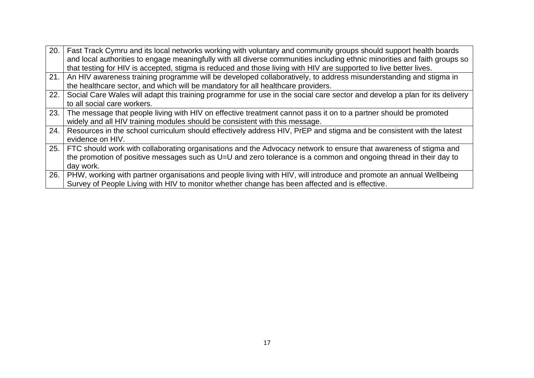| 20. | Fast Track Cymru and its local networks working with voluntary and community groups should support health boards<br>and local authorities to engage meaningfully with all diverse communities including ethnic minorities and faith groups so |
|-----|-----------------------------------------------------------------------------------------------------------------------------------------------------------------------------------------------------------------------------------------------|
|     | that testing for HIV is accepted, stigma is reduced and those living with HIV are supported to live better lives.                                                                                                                             |
|     | 21. An HIV awareness training programme will be developed collaboratively, to address misunderstanding and stigma in                                                                                                                          |
|     | the healthcare sector, and which will be mandatory for all healthcare providers.                                                                                                                                                              |
| 22. | Social Care Wales will adapt this training programme for use in the social care sector and develop a plan for its delivery                                                                                                                    |
|     | to all social care workers.                                                                                                                                                                                                                   |
| 23. | The message that people living with HIV on effective treatment cannot pass it on to a partner should be promoted                                                                                                                              |
|     | widely and all HIV training modules should be consistent with this message.                                                                                                                                                                   |
| 24. | Resources in the school curriculum should effectively address HIV, PrEP and stigma and be consistent with the latest                                                                                                                          |
|     | evidence on HIV.                                                                                                                                                                                                                              |
|     | 25.   FTC should work with collaborating organisations and the Advocacy network to ensure that awareness of stigma and                                                                                                                        |
|     | the promotion of positive messages such as U=U and zero tolerance is a common and ongoing thread in their day to                                                                                                                              |
|     | day work.                                                                                                                                                                                                                                     |
| 26. | PHW, working with partner organisations and people living with HIV, will introduce and promote an annual Wellbeing                                                                                                                            |
|     | Survey of People Living with HIV to monitor whether change has been affected and is effective.                                                                                                                                                |
|     |                                                                                                                                                                                                                                               |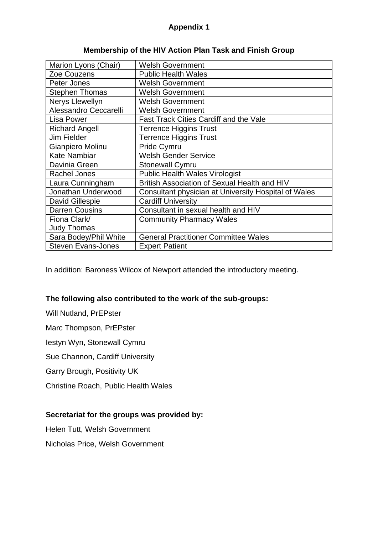## **Appendix 1**

| <b>Welsh Government</b>                              |
|------------------------------------------------------|
| <b>Public Health Wales</b>                           |
| <b>Welsh Government</b>                              |
| <b>Welsh Government</b>                              |
| <b>Welsh Government</b>                              |
| <b>Welsh Government</b>                              |
| <b>Fast Track Cities Cardiff and the Vale</b>        |
| <b>Terrence Higgins Trust</b>                        |
| <b>Terrence Higgins Trust</b>                        |
| Pride Cymru                                          |
| <b>Welsh Gender Service</b>                          |
| <b>Stonewall Cymru</b>                               |
| <b>Public Health Wales Virologist</b>                |
| British Association of Sexual Health and HIV         |
| Consultant physician at University Hospital of Wales |
| <b>Cardiff University</b>                            |
| Consultant in sexual health and HIV                  |
| <b>Community Pharmacy Wales</b>                      |
|                                                      |
| <b>General Practitioner Committee Wales</b>          |
| <b>Expert Patient</b>                                |
|                                                      |

## **Membership of the HIV Action Plan Task and Finish Group**

In addition: Baroness Wilcox of Newport attended the introductory meeting.

## **The following also contributed to the work of the sub-groups:**

Will Nutland, PrEPster

Marc Thompson, PrEPster

Iestyn Wyn, Stonewall Cymru

Sue Channon, Cardiff University

Garry Brough, Positivity UK

Christine Roach, Public Health Wales

## **Secretariat for the groups was provided by:**

Helen Tutt, Welsh Government

Nicholas Price, Welsh Government